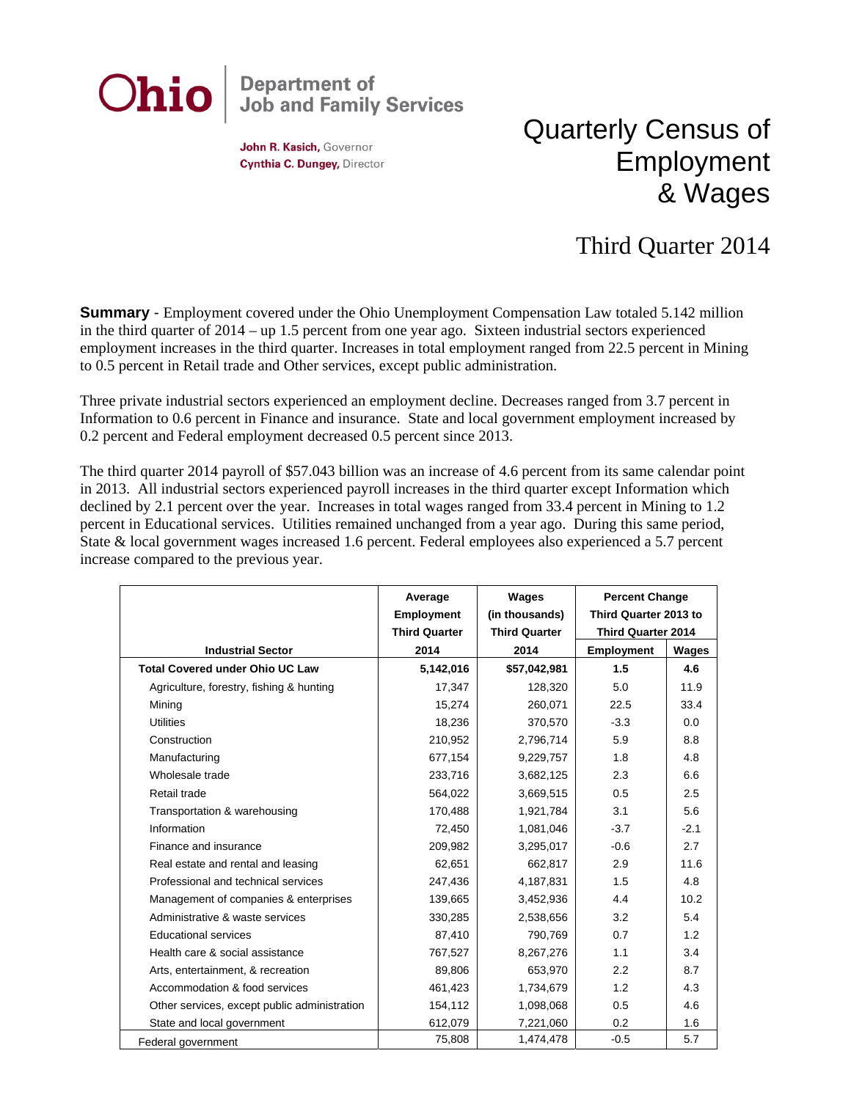

John R. Kasich, Governor Cynthia C. Dungey, Director

## Quarterly Census of Employment & Wages

## Third Quarter 2014

**Summary** - Employment covered under the Ohio Unemployment Compensation Law totaled 5.142 million in the third quarter of 2014 – up 1.5 percent from one year ago. Sixteen industrial sectors experienced employment increases in the third quarter. Increases in total employment ranged from 22.5 percent in Mining to 0.5 percent in Retail trade and Other services, except public administration.

Three private industrial sectors experienced an employment decline. Decreases ranged from 3.7 percent in Information to 0.6 percent in Finance and insurance. State and local government employment increased by 0.2 percent and Federal employment decreased 0.5 percent since 2013.

The third quarter 2014 payroll of \$57.043 billion was an increase of 4.6 percent from its same calendar point in 2013. All industrial sectors experienced payroll increases in the third quarter except Information which declined by 2.1 percent over the year. Increases in total wages ranged from 33.4 percent in Mining to 1.2 percent in Educational services. Utilities remained unchanged from a year ago. During this same period, State & local government wages increased 1.6 percent. Federal employees also experienced a 5.7 percent increase compared to the previous year.

|                                              | Average<br><b>Employment</b> | Wages<br>(in thousands) | <b>Percent Change</b><br>Third Quarter 2013 to<br><b>Third Quarter 2014</b> |        |
|----------------------------------------------|------------------------------|-------------------------|-----------------------------------------------------------------------------|--------|
|                                              | <b>Third Quarter</b>         | <b>Third Quarter</b>    |                                                                             |        |
| <b>Industrial Sector</b>                     | 2014                         | 2014                    | <b>Employment</b>                                                           | Wages  |
| <b>Total Covered under Ohio UC Law</b>       | 5,142,016                    | \$57,042,981            | 1.5                                                                         | 4.6    |
| Agriculture, forestry, fishing & hunting     | 17,347                       | 128,320                 | 5.0                                                                         | 11.9   |
| Mining                                       | 15,274                       | 260,071                 | 22.5                                                                        | 33.4   |
| <b>Utilities</b>                             | 18,236                       | 370,570                 | $-3.3$                                                                      | 0.0    |
| Construction                                 | 210,952                      | 2,796,714               | 5.9                                                                         | 8.8    |
| Manufacturing                                | 677,154                      | 9,229,757               | 1.8                                                                         | 4.8    |
| Wholesale trade                              | 233,716                      | 3,682,125               | 2.3                                                                         | 6.6    |
| Retail trade                                 | 564,022                      | 3,669,515               | 0.5                                                                         | 2.5    |
| Transportation & warehousing                 | 170,488                      | 1,921,784               | 3.1                                                                         | 5.6    |
| Information                                  | 72,450                       | 1,081,046               | $-3.7$                                                                      | $-2.1$ |
| Finance and insurance                        | 209,982                      | 3,295,017               | $-0.6$                                                                      | 2.7    |
| Real estate and rental and leasing           | 62.651                       | 662.817                 | 2.9                                                                         | 11.6   |
| Professional and technical services          | 247,436                      | 4,187,831               | 1.5                                                                         | 4.8    |
| Management of companies & enterprises        | 139.665                      | 3,452,936               | 4.4                                                                         | 10.2   |
| Administrative & waste services              | 330,285                      | 2,538,656               | 3.2                                                                         | 5.4    |
| <b>Educational services</b>                  | 87.410                       | 790,769                 | 0.7                                                                         | 1.2    |
| Health care & social assistance              | 767,527                      | 8,267,276               | 1.1                                                                         | 3.4    |
| Arts, entertainment, & recreation            | 89.806                       | 653.970                 | 2.2                                                                         | 8.7    |
| Accommodation & food services                | 461,423                      | 1,734,679               | 1.2                                                                         | 4.3    |
| Other services, except public administration | 154,112                      | 1,098,068               | 0.5                                                                         | 4.6    |
| State and local government                   | 612,079                      | 7,221,060               | 0.2                                                                         | 1.6    |
| Federal government                           | 75,808                       | 1,474,478               | $-0.5$                                                                      | 5.7    |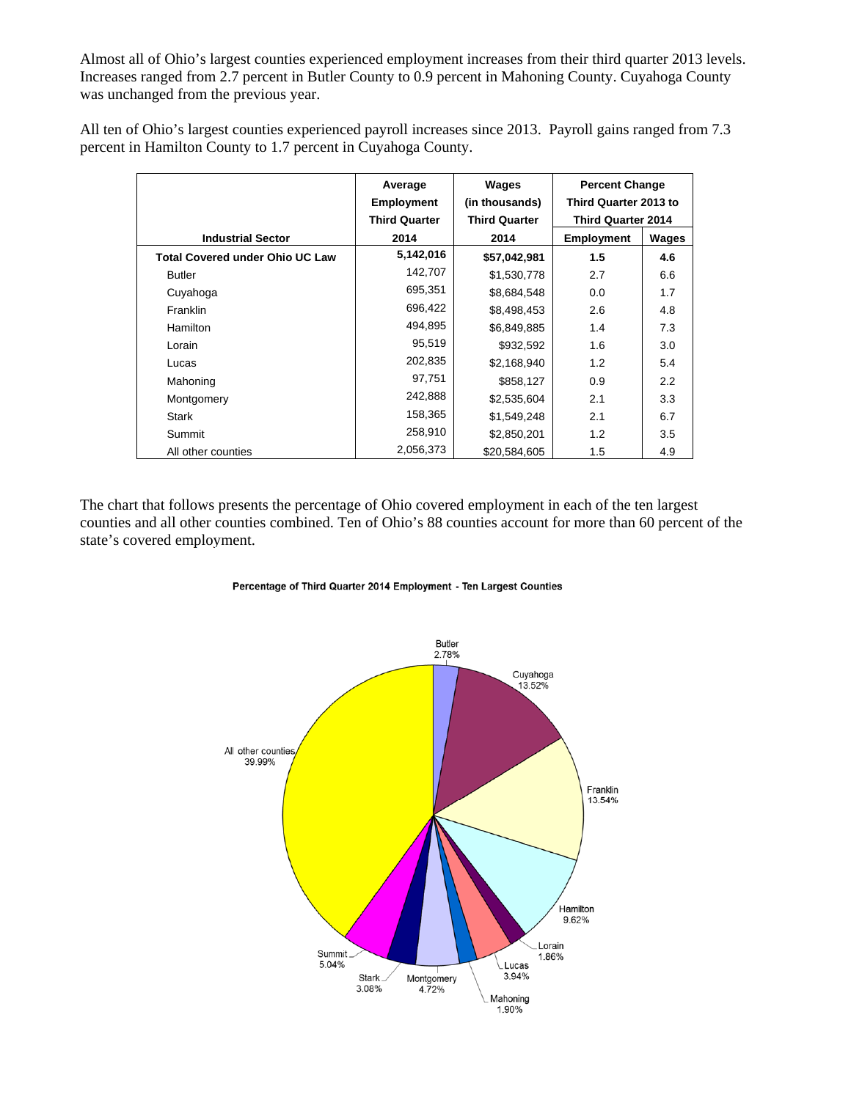Almost all of Ohio's largest counties experienced employment increases from their third quarter 2013 levels. Increases ranged from 2.7 percent in Butler County to 0.9 percent in Mahoning County. Cuyahoga County was unchanged from the previous year.

All ten of Ohio's largest counties experienced payroll increases since 2013. Payroll gains ranged from 7.3 percent in Hamilton County to 1.7 percent in Cuyahoga County.

|                                        | Average              | Wages                | <b>Percent Change</b>     |       |
|----------------------------------------|----------------------|----------------------|---------------------------|-------|
|                                        | <b>Employment</b>    | (in thousands)       | Third Quarter 2013 to     |       |
|                                        | <b>Third Quarter</b> | <b>Third Quarter</b> | <b>Third Quarter 2014</b> |       |
| <b>Industrial Sector</b>               | 2014                 | 2014                 | <b>Employment</b>         | Wages |
| <b>Total Covered under Ohio UC Law</b> | 5,142,016            | \$57,042,981         | 1.5                       | 4.6   |
| <b>Butler</b>                          | 142,707              | \$1,530,778          | 2.7                       | 6.6   |
| Cuyahoga                               | 695,351              | \$8,684,548          | 0.0                       | 1.7   |
| <b>Franklin</b>                        | 696,422              | \$8,498,453          | 2.6                       | 4.8   |
| <b>Hamilton</b>                        | 494,895              | \$6,849,885          | 1.4                       | 7.3   |
| Lorain                                 | 95,519               | \$932,592            | 1.6                       | 3.0   |
| Lucas                                  | 202,835              | \$2.168.940          | 1.2                       | 5.4   |
| Mahoning                               | 97,751               | \$858,127            | 0.9                       | 2.2   |
| Montgomery                             | 242,888              | \$2,535,604          | 2.1                       | 3.3   |
| Stark                                  | 158,365              | \$1,549,248          | 2.1                       | 6.7   |
| Summit                                 | 258,910              | \$2,850,201          | 1.2                       | 3.5   |
| All other counties                     | 2,056,373            | \$20.584.605         | 1.5                       | 4.9   |

The chart that follows presents the percentage of Ohio covered employment in each of the ten largest counties and all other counties combined. Ten of Ohio's 88 counties account for more than 60 percent of the state's covered employment.